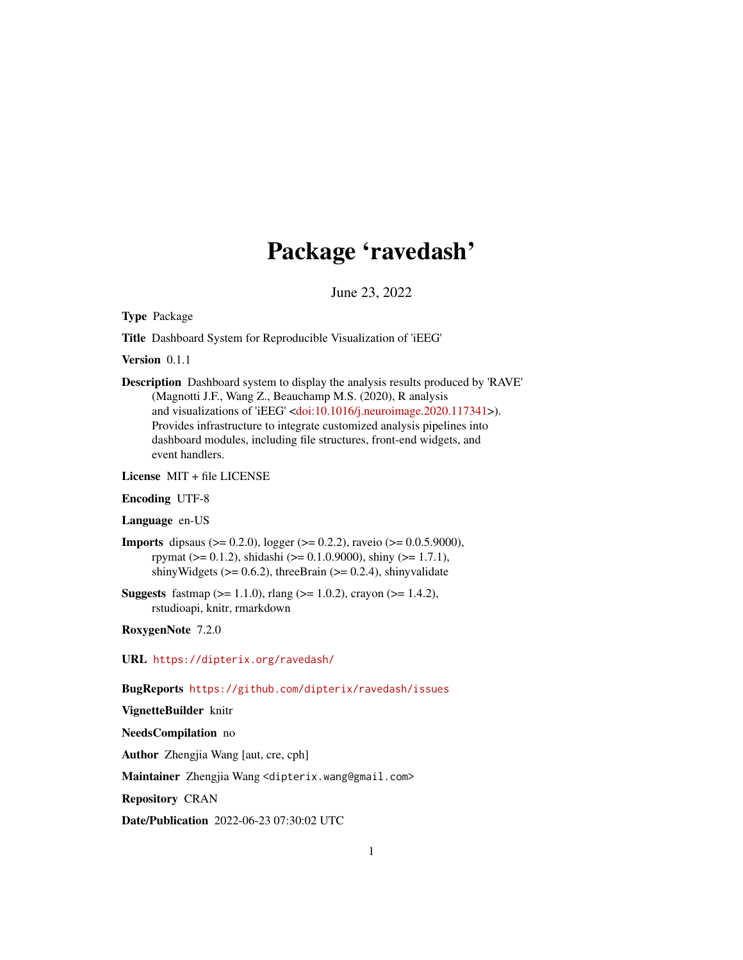# Package 'ravedash'

June 23, 2022

<span id="page-0-0"></span>Type Package

Title Dashboard System for Reproducible Visualization of 'iEEG'

Version 0.1.1

Description Dashboard system to display the analysis results produced by 'RAVE' (Magnotti J.F., Wang Z., Beauchamp M.S. (2020), R analysis and visualizations of 'iEEG' [<doi:10.1016/j.neuroimage.2020.117341>](https://doi.org/10.1016/j.neuroimage.2020.117341)). Provides infrastructure to integrate customized analysis pipelines into dashboard modules, including file structures, front-end widgets, and event handlers.

License MIT + file LICENSE

Encoding UTF-8

Language en-US

- **Imports** dipsaus ( $> = 0.2.0$ ), logger ( $> = 0.2.2$ ), raveio ( $> = 0.0.5.9000$ ), rpymat ( $> = 0.1.2$ ), shidashi ( $> = 0.1.0.9000$ ), shiny ( $> = 1.7.1$ ), shinyWidgets ( $> = 0.6.2$ ), threeBrain ( $> = 0.2.4$ ), shinyvalidate
- **Suggests** fastmap ( $>= 1.1.0$ ), rlang ( $>= 1.0.2$ ), crayon ( $>= 1.4.2$ ), rstudioapi, knitr, rmarkdown

RoxygenNote 7.2.0

URL <https://dipterix.org/ravedash/>

BugReports <https://github.com/dipterix/ravedash/issues>

VignetteBuilder knitr

NeedsCompilation no

Author Zhengjia Wang [aut, cre, cph]

Maintainer Zhengjia Wang <dipterix.wang@gmail.com>

Repository CRAN

Date/Publication 2022-06-23 07:30:02 UTC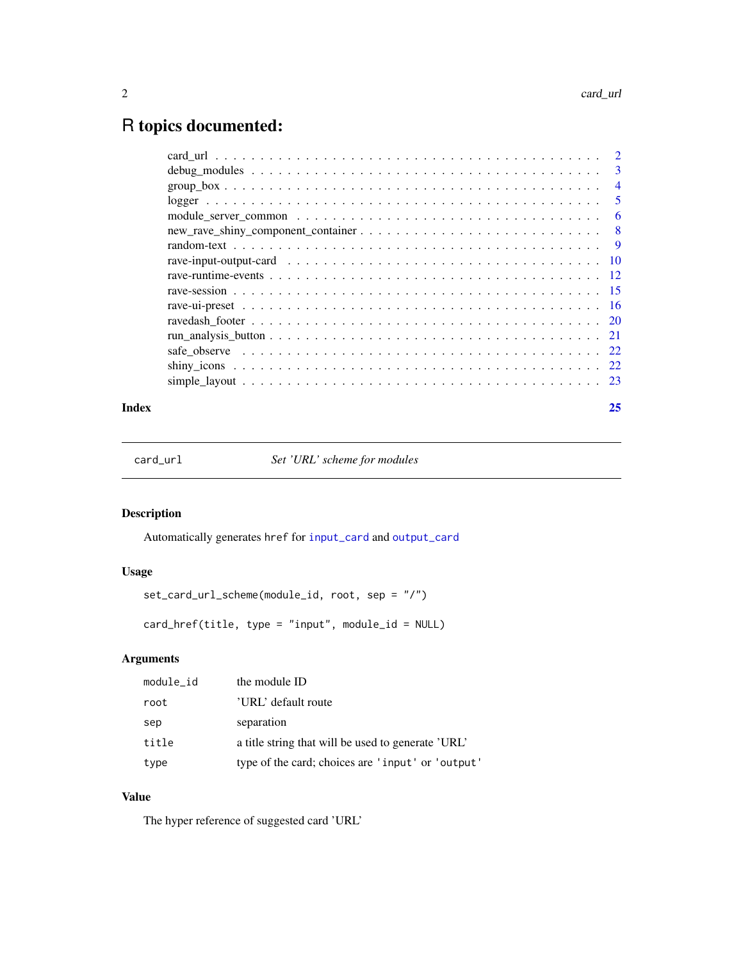# <span id="page-1-0"></span>R topics documented:

|                                                                                                            | 3              |
|------------------------------------------------------------------------------------------------------------|----------------|
| $group\_box$                                                                                               | $\overline{4}$ |
|                                                                                                            | 5              |
| module server common $\dots \dots \dots \dots \dots \dots \dots \dots \dots \dots \dots \dots \dots \dots$ | 6              |
|                                                                                                            | - 8            |
|                                                                                                            |                |
|                                                                                                            |                |
|                                                                                                            |                |
|                                                                                                            |                |
|                                                                                                            |                |
|                                                                                                            |                |
|                                                                                                            |                |
|                                                                                                            |                |
|                                                                                                            |                |
|                                                                                                            |                |
|                                                                                                            |                |

#### **Index** [25](#page-24-0)

card\_url *Set 'URL' scheme for modules*

# Description

Automatically generates href for [input\\_card](#page-9-1) and [output\\_card](#page-9-1)

# Usage

```
set_card_url_scheme(module_id, root, sep = "/")
```
card\_href(title, type = "input", module\_id = NULL)

# Arguments

| module_id | the module ID                                      |
|-----------|----------------------------------------------------|
| root      | 'URL' default route                                |
| sep       | separation                                         |
| title     | a title string that will be used to generate 'URL' |
| type      | type of the card; choices are 'input' or 'output'  |

# Value

The hyper reference of suggested card 'URL'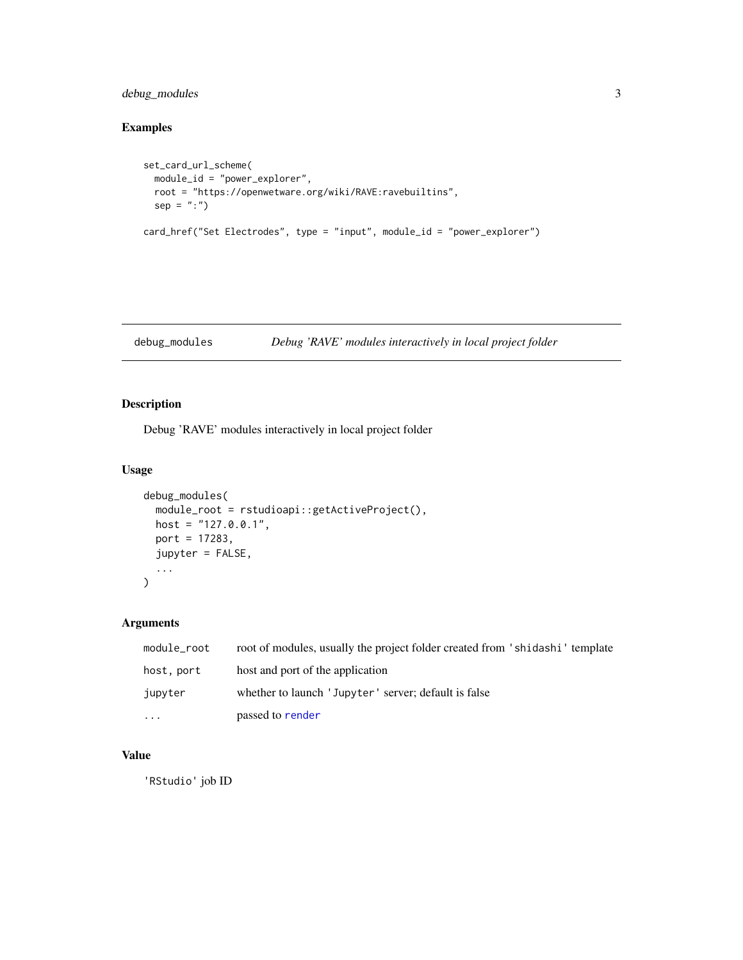#### <span id="page-2-0"></span>debug\_modules 3

# Examples

```
set_card_url_scheme(
  module_id = "power_explorer",
  root = "https://openwetware.org/wiki/RAVE:ravebuiltins",
  sep = ":")
card_href("Set Electrodes", type = "input", module_id = "power_explorer")
```

```
debug_modules Debug 'RAVE' modules interactively in local project folder
```
#### Description

Debug 'RAVE' modules interactively in local project folder

#### Usage

```
debug_modules(
 module_root = rstudioapi::getActiveProject(),
 host = "127.0.0.1",port = 17283,
  jupyter = FALSE,
  ...
\mathcal{L}
```
#### Arguments

| module_root | root of modules, usually the project folder created from 'shidashi' template |
|-------------|------------------------------------------------------------------------------|
| host, port  | host and port of the application                                             |
| jupyter     | whether to launch 'Jupyter' server; default is false                         |
| .           | passed to render                                                             |

#### Value

'RStudio' job ID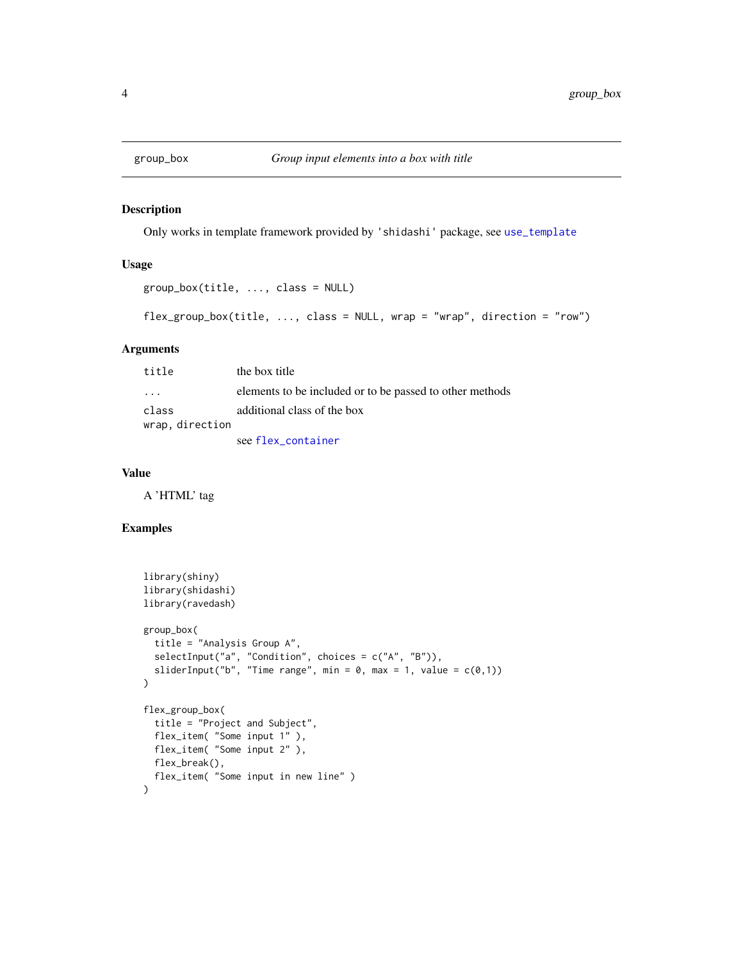<span id="page-3-0"></span>

#### Description

Only works in template framework provided by 'shidashi' package, see [use\\_template](#page-0-0)

#### Usage

```
group_box(title, ..., class = NULL)
```

```
flex_group_box(title, \dots, class = NULL, wrap = "wrap", direction = "row")
```
#### Arguments

| title                   | the box title                                            |
|-------------------------|----------------------------------------------------------|
| $\cdot$ $\cdot$ $\cdot$ | elements to be included or to be passed to other methods |
| class                   | additional class of the box                              |
| wrap, direction         |                                                          |
|                         | see flex_container                                       |

#### Value

A 'HTML' tag

#### Examples

```
library(shiny)
library(shidashi)
library(ravedash)
group_box(
  title = "Analysis Group A",
  selectInput("a", "Condition", choices = c("A", "B")),
  sliderInput("b", "Time range", min = 0, max = 1, value = c(0,1))
\lambdaflex_group_box(
  title = "Project and Subject",
  flex_item( "Some input 1" ),
  flex_item( "Some input 2" ),
  flex_break(),
  flex_item( "Some input in new line" )
)
```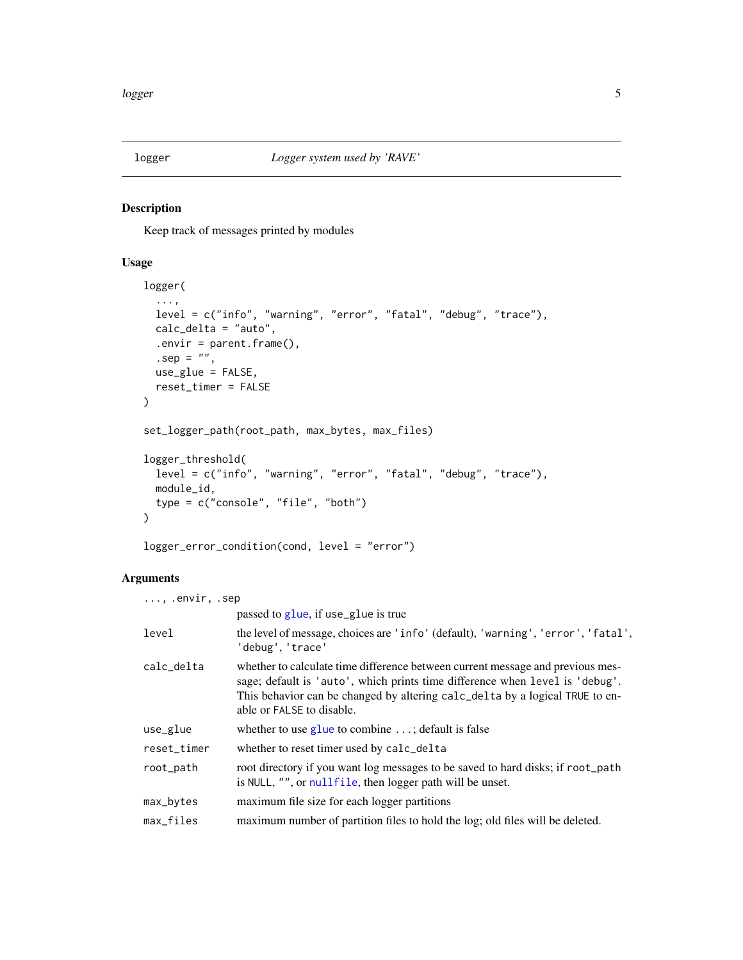<span id="page-4-0"></span>

#### Description

Keep track of messages printed by modules

#### Usage

```
logger(
  ...,
  level = c("info", "warning", "error", "fatal", "debug", "trace"),
  calc_delta = "auto",
  .envir = parent.frame(),.\text{sep} = \sqrt{\frac{mn}{n}}use_glue = FALSE,
  reset_timer = FALSE
\mathcal{L}set_logger_path(root_path, max_bytes, max_files)
logger_threshold(
  level = c("info", "warning", "error", "fatal", "debug", "trace"),
  module_id,
  type = c("console", "file", "both")
\mathcal{L}
```
# logger\_error\_condition(cond, level = "error")

# Arguments

| $\ldots$ , .envir, .sep |                                                                                                                                                                                                                                                                             |
|-------------------------|-----------------------------------------------------------------------------------------------------------------------------------------------------------------------------------------------------------------------------------------------------------------------------|
|                         | passed to glue, if use_glue is true                                                                                                                                                                                                                                         |
| level                   | the level of message, choices are 'info' (default), 'warning', 'error', 'fatal',<br>'debug', 'trace'                                                                                                                                                                        |
| calc_delta              | whether to calculate time difference between current message and previous mes-<br>sage; default is 'auto', which prints time difference when level is 'debug'.<br>This behavior can be changed by altering calc_delta by a logical TRUE to en-<br>able or FALSE to disable. |
| use_glue                | whether to use glue to combine $\dots$ ; default is false                                                                                                                                                                                                                   |
| reset_timer             | whether to reset timer used by calc_delta                                                                                                                                                                                                                                   |
| root_path               | root directory if you want log messages to be saved to hard disks; if root_path<br>is NULL, "", or nullfile, then logger path will be unset.                                                                                                                                |
| max_bytes               | maximum file size for each logger partitions                                                                                                                                                                                                                                |
| max_files               | maximum number of partition files to hold the log; old files will be deleted.                                                                                                                                                                                               |
|                         |                                                                                                                                                                                                                                                                             |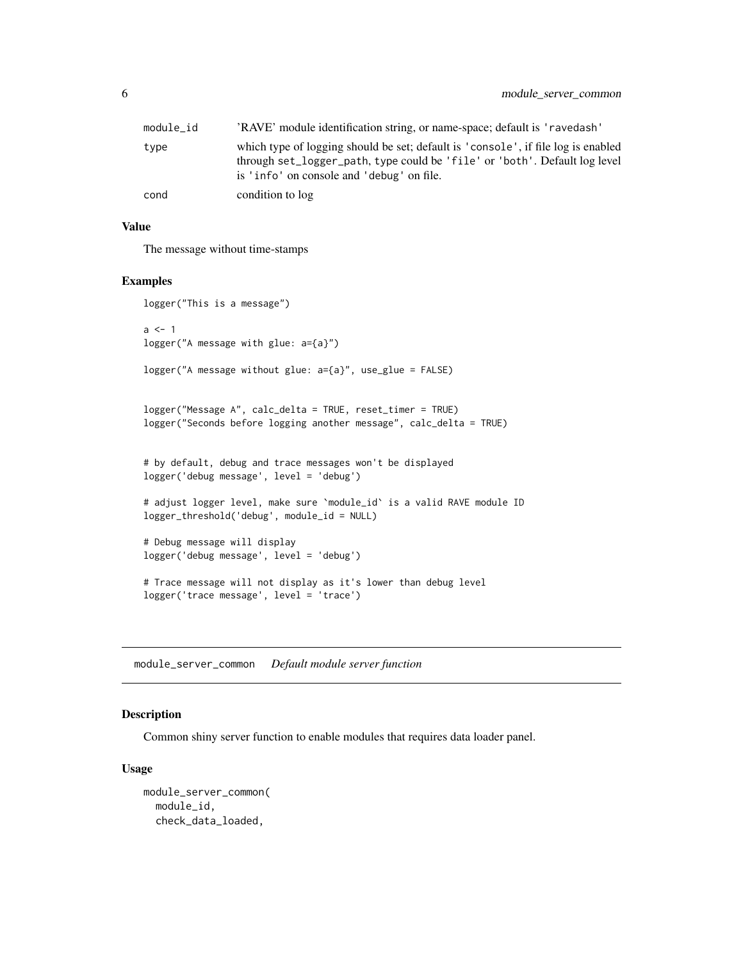<span id="page-5-0"></span>

| module id | 'RAVE' module identification string, or name-space; default is 'ravedash'                                                                                                                                    |
|-----------|--------------------------------------------------------------------------------------------------------------------------------------------------------------------------------------------------------------|
| type      | which type of logging should be set; default is 'console', if file log is enabled<br>through set_logger_path, type could be 'file' or 'both'. Default log level<br>is 'info' on console and 'debug' on file. |
| cond      | condition to log                                                                                                                                                                                             |

#### Value

The message without time-stamps

#### Examples

```
logger("This is a message")
a \leq -1logger("A message with glue: a={a}")
logger("A message without glue: a={a}", use_glue = FALSE)
logger("Message A", calc_delta = TRUE, reset_timer = TRUE)
logger("Seconds before logging another message", calc_delta = TRUE)
# by default, debug and trace messages won't be displayed
logger('debug message', level = 'debug')
# adjust logger level, make sure `module_id` is a valid RAVE module ID
logger_threshold('debug', module_id = NULL)
# Debug message will display
logger('debug message', level = 'debug')
# Trace message will not display as it's lower than debug level
logger('trace message', level = 'trace')
```
<span id="page-5-1"></span>module\_server\_common *Default module server function*

#### Description

Common shiny server function to enable modules that requires data loader panel.

#### Usage

```
module_server_common(
 module_id,
 check_data_loaded,
```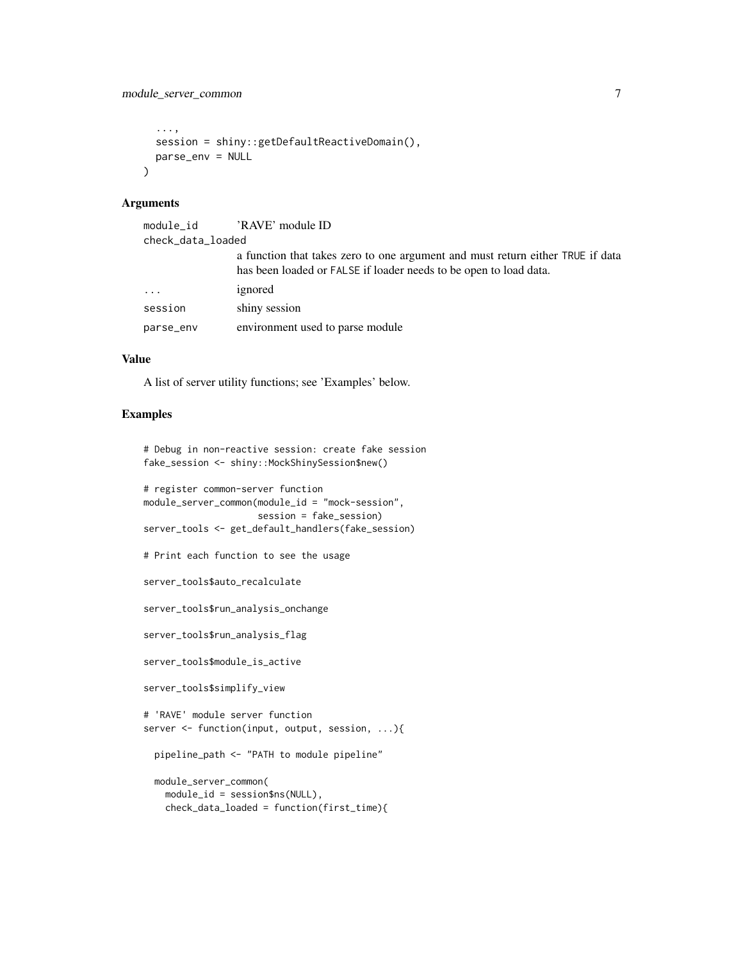```
...,
  session = shiny::getDefaultReactiveDomain(),
 parse_env = NULL
\lambda
```
#### Arguments

| check_data_loaded |                                                                                                                                                     |  |
|-------------------|-----------------------------------------------------------------------------------------------------------------------------------------------------|--|
|                   | a function that takes zero to one argument and must return either TRUE if data<br>has been loaded or FALSE if loader needs to be open to load data. |  |
| $\cdots$          | ignored                                                                                                                                             |  |
| session           | shiny session                                                                                                                                       |  |
| parse_env         | environment used to parse module                                                                                                                    |  |

#### Value

A list of server utility functions; see 'Examples' below.

#### Examples

```
# Debug in non-reactive session: create fake session
fake_session <- shiny::MockShinySession$new()
```

```
# register common-server function
module_server_common(module_id = "mock-session",
                    session = fake_session)
server_tools <- get_default_handlers(fake_session)
```

```
# Print each function to see the usage
```
server\_tools\$auto\_recalculate

server\_tools\$run\_analysis\_onchange

server\_tools\$run\_analysis\_flag

```
server_tools$module_is_active
```

```
server_tools$simplify_view
```

```
# 'RAVE' module server function
server <- function(input, output, session, ...){
```
pipeline\_path <- "PATH to module pipeline"

```
module_server_common(
 module_id = session$ns(NULL),
 check_data_loaded = function(first_time){
```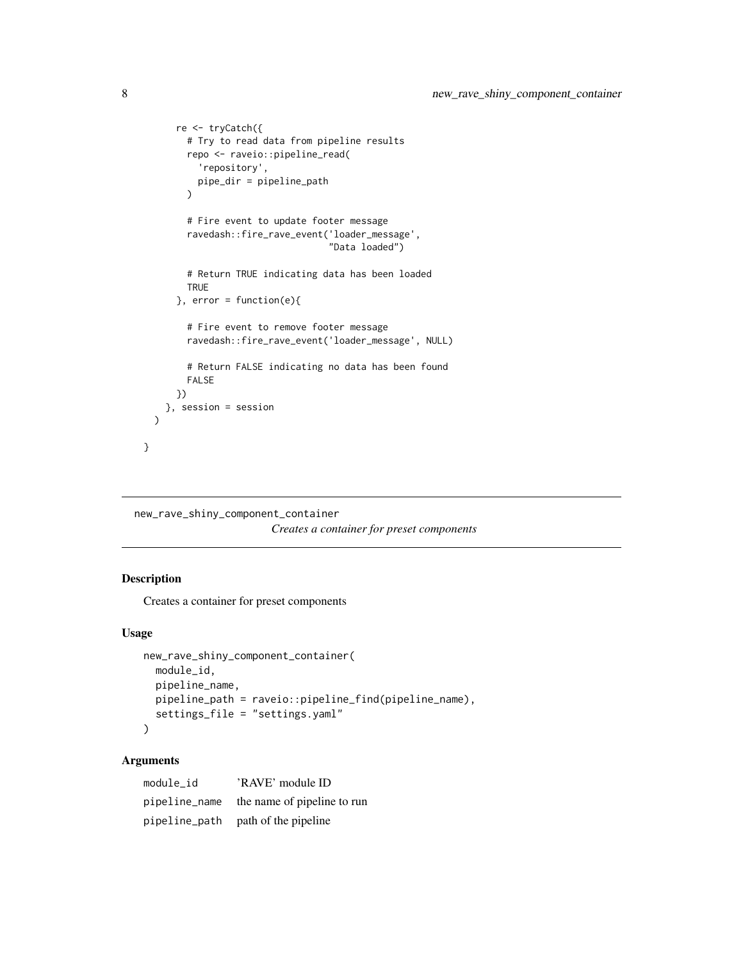```
re <- tryCatch({
      # Try to read data from pipeline results
      repo <- raveio::pipeline_read(
        'repository',
        pipe_dir = pipeline_path
      \lambda# Fire event to update footer message
      ravedash::fire_rave_event('loader_message',
                                 "Data loaded")
      # Return TRUE indicating data has been loaded
      TRUE
    }, error = function(e){
      # Fire event to remove footer message
      ravedash::fire_rave_event('loader_message', NULL)
      # Return FALSE indicating no data has been found
      FALSE
    })
 }, session = session
\lambda
```

```
new_rave_shiny_component_container
```
*Creates a container for preset components*

#### Description

}

Creates a container for preset components

#### Usage

```
new_rave_shiny_component_container(
 module_id,
  pipeline_name,
 pipeline_path = raveio::pipeline_find(pipeline_name),
  settings_file = "settings.yaml"
\mathcal{L}
```
#### Arguments

| module id | 'RAVE' module ID                          |
|-----------|-------------------------------------------|
|           | pipeline_name the name of pipeline to run |
|           | pipeline_path path of the pipeline        |

<span id="page-7-0"></span>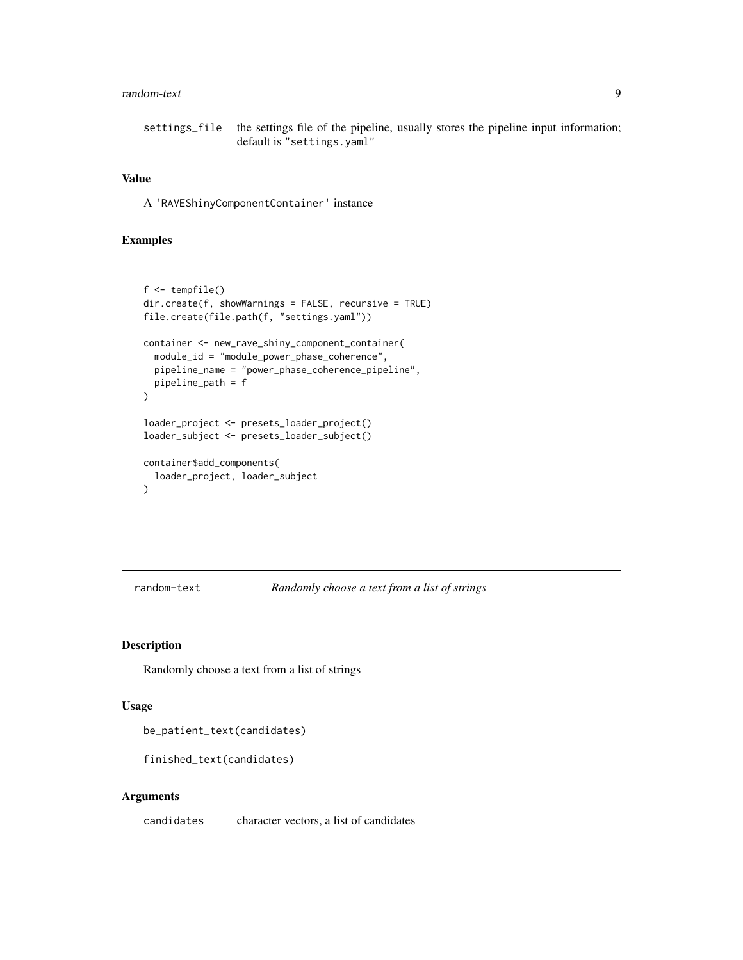#### <span id="page-8-0"></span>random-text 9

settings\_file the settings file of the pipeline, usually stores the pipeline input information; default is "settings.yaml"

#### Value

A 'RAVEShinyComponentContainer' instance

# Examples

```
f <- tempfile()
dir.create(f, showWarnings = FALSE, recursive = TRUE)
file.create(file.path(f, "settings.yaml"))
container <- new_rave_shiny_component_container(
  module_id = "module_power_phase_coherence",
  pipeline_name = "power_phase_coherence_pipeline",
  pipeline_path = f
)
loader_project <- presets_loader_project()
loader_subject <- presets_loader_subject()
container$add_components(
  loader_project, loader_subject
)
```
random-text *Randomly choose a text from a list of strings*

#### Description

Randomly choose a text from a list of strings

#### Usage

be\_patient\_text(candidates)

finished\_text(candidates)

#### Arguments

candidates character vectors, a list of candidates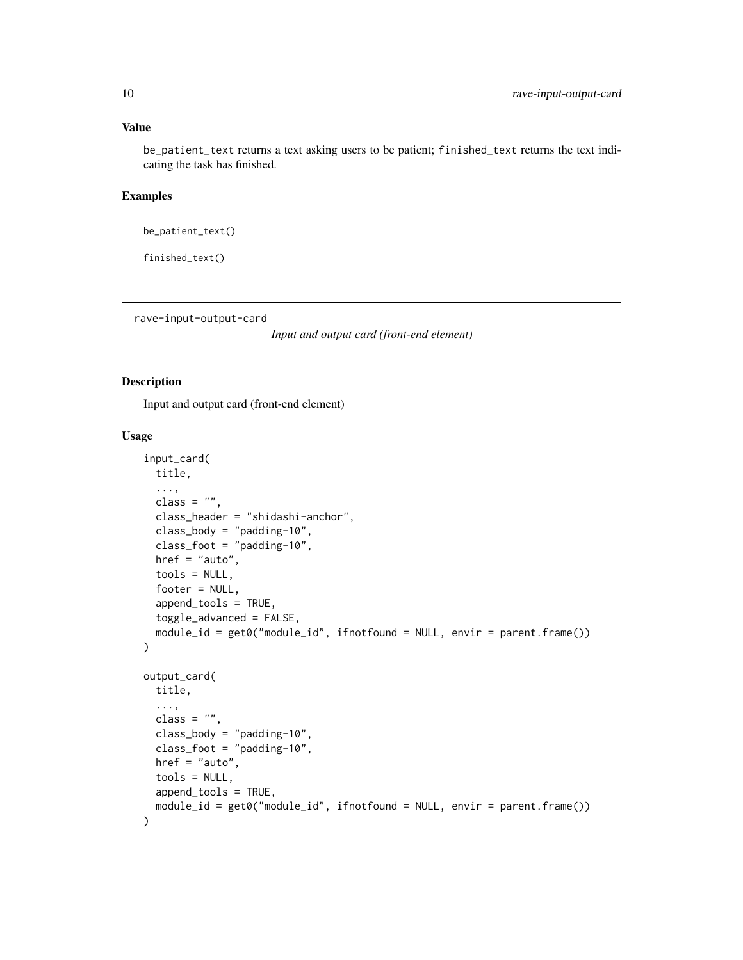<span id="page-9-0"></span>be\_patient\_text returns a text asking users to be patient; finished\_text returns the text indicating the task has finished.

#### Examples

```
be_patient_text()
```
finished\_text()

rave-input-output-card

*Input and output card (front-end element)*

#### <span id="page-9-1"></span>Description

Input and output card (front-end element)

#### Usage

```
input_card(
  title,
  ...,
  class = ".
  class_header = "shidashi-anchor",
  class\_body = "padding-10",class_foot = "padding-10",
  here f = "auto",tools = NULL,
  footer = NULL,
  append_tools = TRUE,
  toggle_advanced = FALSE,
  module_id = get0("module_id", ifnotfound = NULL, envir = parent.frame())
)
output_card(
  title,
  ...,
  class = ",
  class_body = "padding-10",
  class_foot = "padding-10",
 href = "auto",tools = NULL,
  append_tools = TRUE,
  module_id = get0("module_id", ifnotfound = NULL, envir = parent.frame())
)
```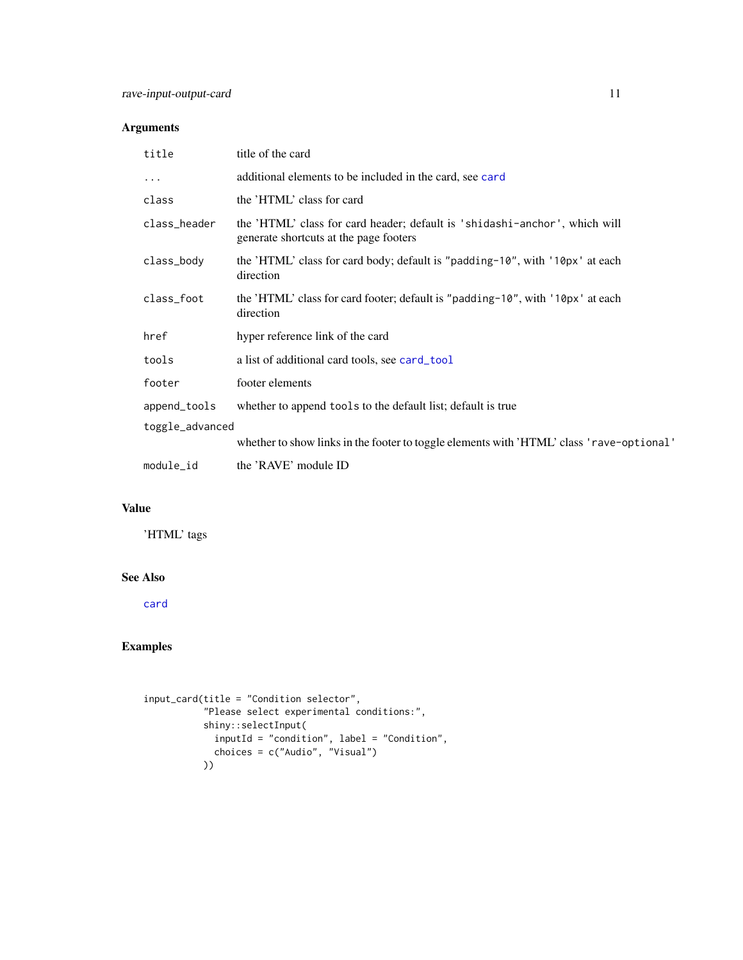# <span id="page-10-0"></span>Arguments

| title           | title of the card                                                                                                    |
|-----------------|----------------------------------------------------------------------------------------------------------------------|
| $\cdots$        | additional elements to be included in the card, see card                                                             |
| class           | the 'HTML' class for card                                                                                            |
| class_header    | the 'HTML' class for card header; default is 'shidashi-anchor', which will<br>generate shortcuts at the page footers |
| class_body      | the 'HTML' class for card body; default is "padding-10", with '10px' at each<br>direction                            |
| class_foot      | the 'HTML' class for card footer; default is "padding-10", with '10px' at each<br>direction                          |
| href            | hyper reference link of the card                                                                                     |
| tools           | a list of additional card tools, see card_tool                                                                       |
| footer          | footer elements                                                                                                      |
| append_tools    | whether to append tools to the default list; default is true                                                         |
| toggle_advanced |                                                                                                                      |
|                 | whether to show links in the footer to toggle elements with 'HTML' class 'rave-optional'                             |
| module_id       | the 'RAVE' module ID                                                                                                 |

# Value

'HTML' tags

#### See Also

[card](#page-0-0)

# Examples

```
input_card(title = "Condition selector",
           "Please select experimental conditions:",
           shiny::selectInput(
            inputId = "condition", label = "Condition",
            choices = c("Audio", "Visual")
           ))
```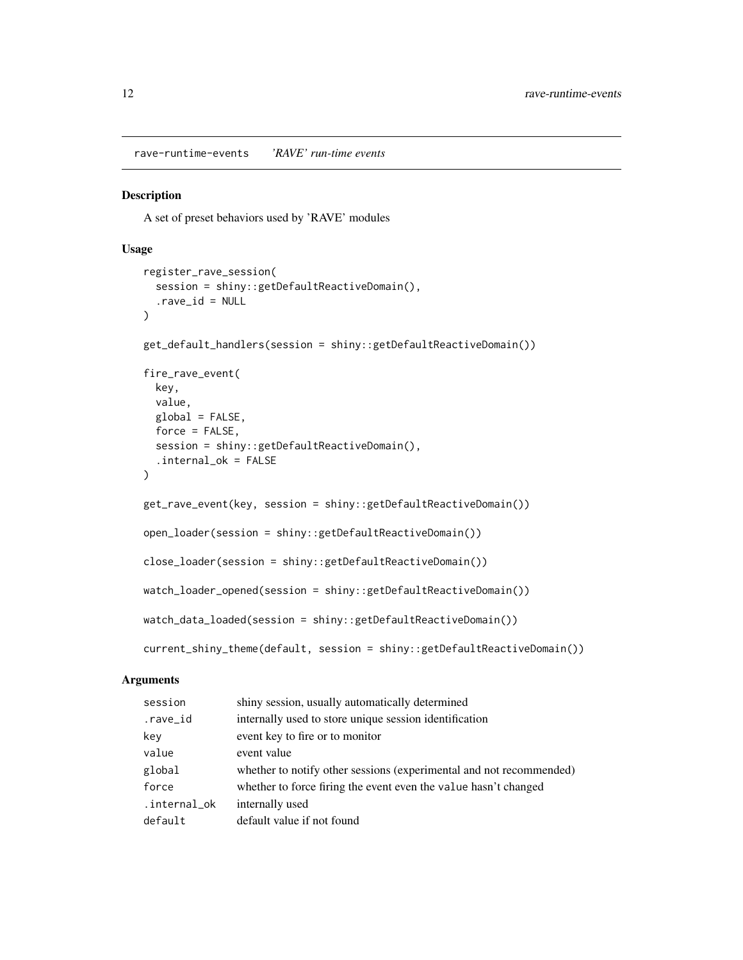<span id="page-11-0"></span>rave-runtime-events *'RAVE' run-time events*

#### <span id="page-11-1"></span>Description

A set of preset behaviors used by 'RAVE' modules

#### Usage

```
register_rave_session(
 session = shiny::getDefaultReactiveDomain(),
  rave_id = NULL\lambdaget_default_handlers(session = shiny::getDefaultReactiveDomain())
fire_rave_event(
 key,
 value,
 global = FALSE,force = FALSE,session = shiny::getDefaultReactiveDomain(),
  .internal_ok = FALSE
)
get_rave_event(key, session = shiny::getDefaultReactiveDomain())
open_loader(session = shiny::getDefaultReactiveDomain())
close_loader(session = shiny::getDefaultReactiveDomain())
watch_loader_opened(session = shiny::getDefaultReactiveDomain())
watch_data_loaded(session = shiny::getDefaultReactiveDomain())
current_shiny_theme(default, session = shiny::getDefaultReactiveDomain())
```
#### Arguments

| session      | shiny session, usually automatically determined                     |
|--------------|---------------------------------------------------------------------|
| .rave_id     | internally used to store unique session identification              |
| key          | event key to fire or to monitor                                     |
| value        | event value                                                         |
| global       | whether to notify other sessions (experimental and not recommended) |
| force        | whether to force firing the event even the value hasn't changed     |
| .internal_ok | internally used                                                     |
| default      | default value if not found                                          |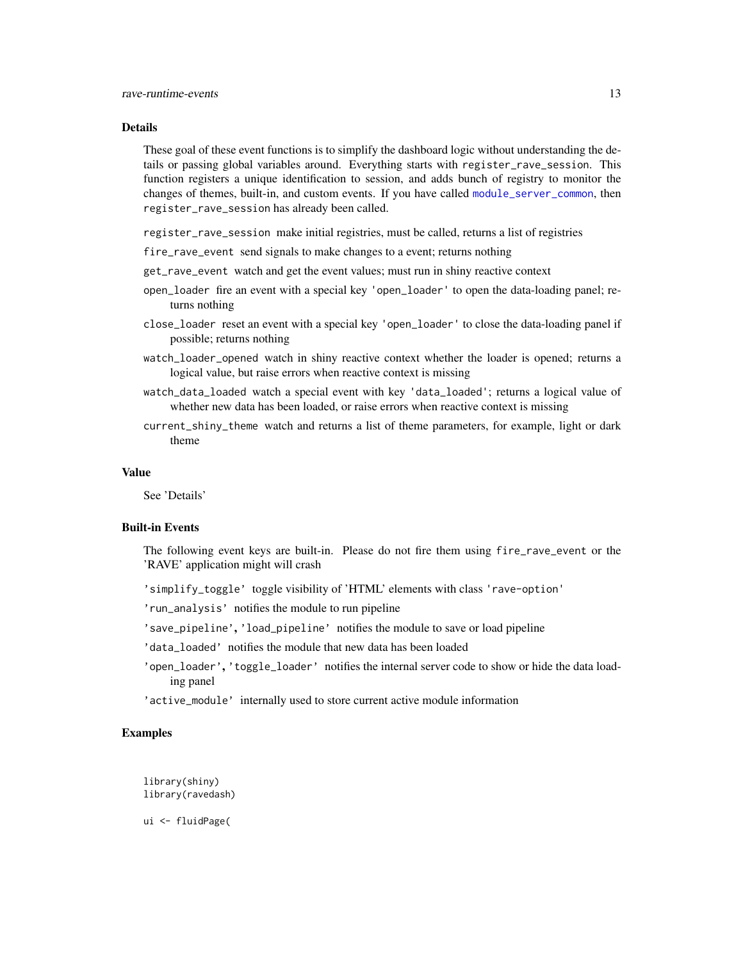#### <span id="page-12-0"></span>Details

These goal of these event functions is to simplify the dashboard logic without understanding the details or passing global variables around. Everything starts with register\_rave\_session. This function registers a unique identification to session, and adds bunch of registry to monitor the changes of themes, built-in, and custom events. If you have called [module\\_server\\_common](#page-5-1), then register\_rave\_session has already been called.

register\_rave\_session make initial registries, must be called, returns a list of registries

- fire\_rave\_event send signals to make changes to a event; returns nothing
- get\_rave\_event watch and get the event values; must run in shiny reactive context
- open\_loader fire an event with a special key 'open\_loader' to open the data-loading panel; returns nothing
- close\_loader reset an event with a special key 'open\_loader' to close the data-loading panel if possible; returns nothing
- watch\_loader\_opened watch in shiny reactive context whether the loader is opened; returns a logical value, but raise errors when reactive context is missing
- watch\_data\_loaded watch a special event with key 'data\_loaded'; returns a logical value of whether new data has been loaded, or raise errors when reactive context is missing
- current\_shiny\_theme watch and returns a list of theme parameters, for example, light or dark theme

#### Value

See 'Details'

#### Built-in Events

The following event keys are built-in. Please do not fire them using fire\_rave\_event or the 'RAVE' application might will crash

'simplify\_toggle' toggle visibility of 'HTML' elements with class 'rave-option'

'run\_analysis' notifies the module to run pipeline

'save\_pipeline', 'load\_pipeline' notifies the module to save or load pipeline

- 'data\_loaded' notifies the module that new data has been loaded
- 'open\_loader', 'toggle\_loader' notifies the internal server code to show or hide the data loading panel
- 'active\_module' internally used to store current active module information

#### Examples

library(shiny) library(ravedash)

ui <- fluidPage(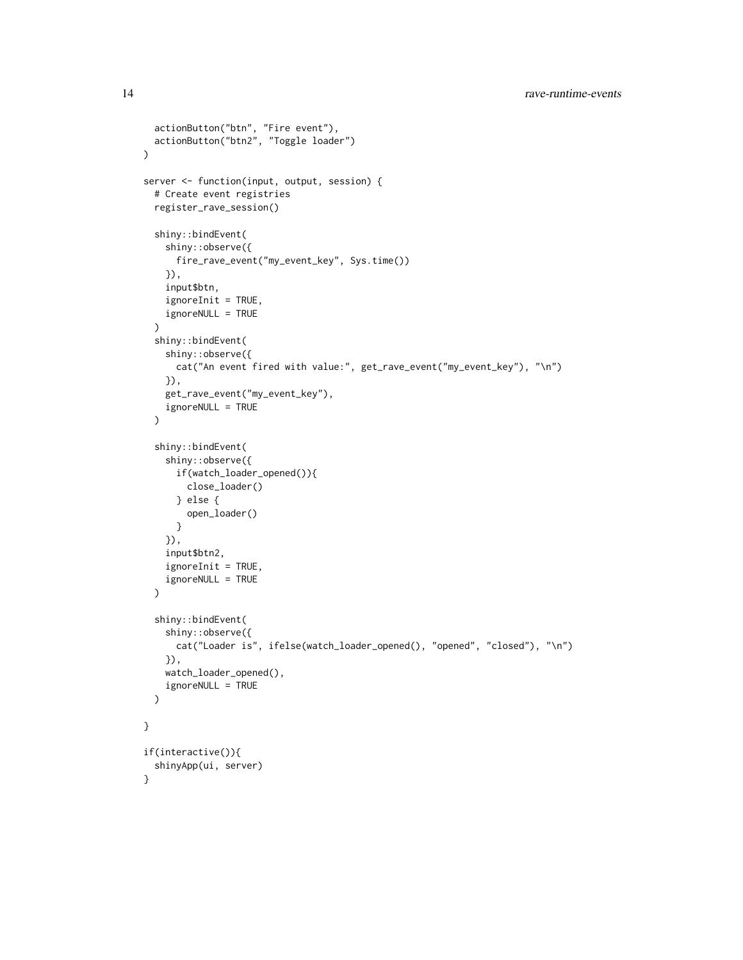```
actionButton("btn", "Fire event"),
  actionButton("btn2", "Toggle loader")
\mathcal{L}server <- function(input, output, session) {
  # Create event registries
  register_rave_session()
  shiny::bindEvent(
    shiny::observe({
      fire_rave_event("my_event_key", Sys.time())
    }),
    input$btn,
    ignoreInit = TRUE,
    ignoreNULL = TRUE
  )
  shiny::bindEvent(
    shiny::observe({
      cat("An event fired with value:", get_rave_event("my_event_key"), "\n")
    }),
    get_rave_event("my_event_key"),
    ignoreNULL = TRUE
  \lambdashiny::bindEvent(
    shiny::observe({
      if(watch_loader_opened()){
        close_loader()
      } else {
        open_loader()
      }
    }),
    input$btn2,
    ignoreInit = TRUE,
    ignoreNULL = TRUE
  \lambdashiny::bindEvent(
    shiny::observe({
      cat("Loader is", ifelse(watch_loader_opened(), "opened", "closed"), "\n")
    }),
    watch_loader_opened(),
    ignoreNULL = TRUE
  )
}
if(interactive()){
  shinyApp(ui, server)
}
```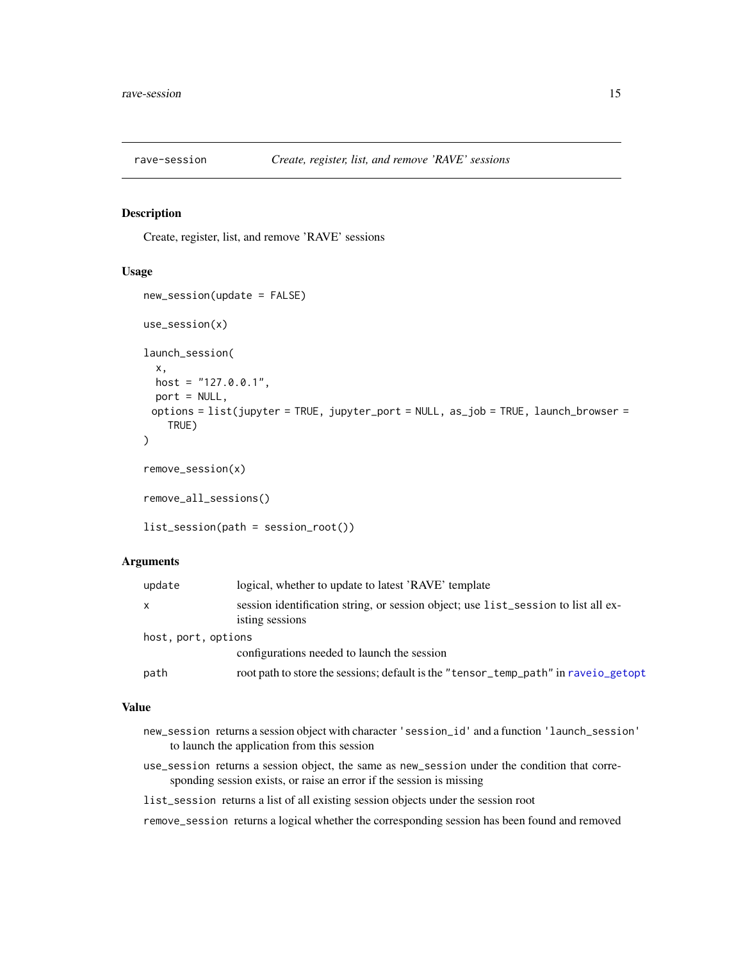<span id="page-14-0"></span>

#### Description

Create, register, list, and remove 'RAVE' sessions

#### Usage

```
new_session(update = FALSE)
use_session(x)
launch_session(
  x,
 host = "127.0.0.1",
  port = NULL,
 options = list(jupyter = TRUE, jupyter_port = NULL, as_job = TRUE, launch_browser =
    TRUE)
)
remove_session(x)
remove_all_sessions()
list_session(path = session_root())
```
#### Arguments

| update              | logical, whether to update to latest 'RAVE' template                                                  |
|---------------------|-------------------------------------------------------------------------------------------------------|
| X                   | session identification string, or session object; use list_session to list all ex-<br>isting sessions |
| host, port, options |                                                                                                       |
|                     | configurations needed to launch the session                                                           |
| path                | root path to store the sessions; default is the "tensor_temp_path" in rave io_getopt                  |

#### Value

- new\_session returns a session object with character 'session\_id' and a function 'launch\_session' to launch the application from this session
- use\_session returns a session object, the same as new\_session under the condition that corresponding session exists, or raise an error if the session is missing
- list\_session returns a list of all existing session objects under the session root

remove\_session returns a logical whether the corresponding session has been found and removed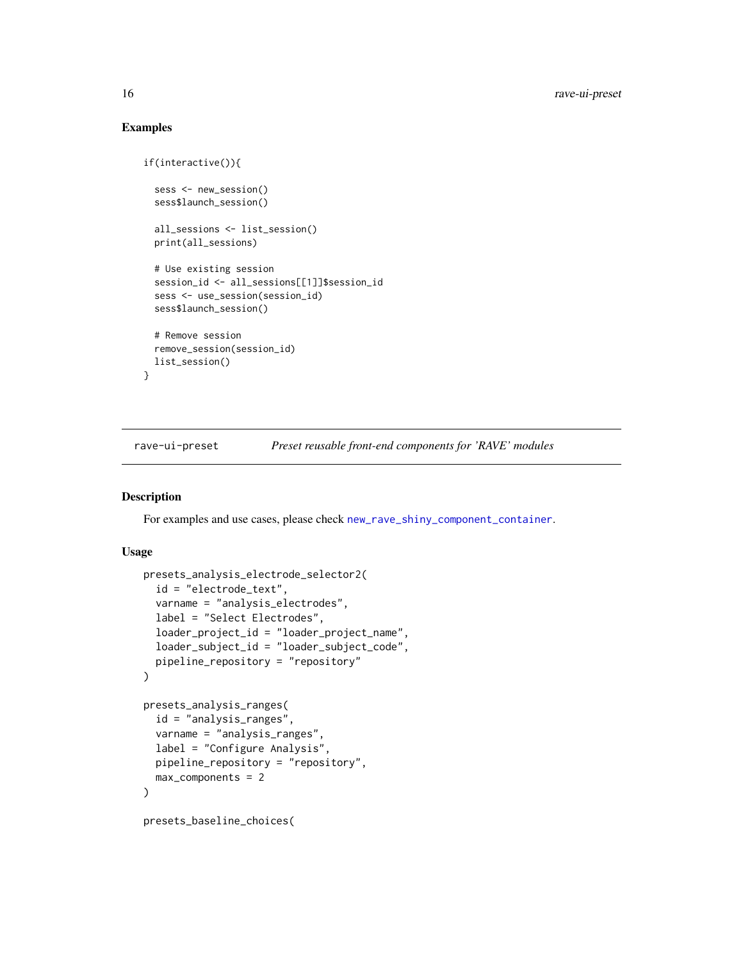#### Examples

```
if(interactive()){
 sess <- new_session()
 sess$launch_session()
 all_sessions <- list_session()
 print(all_sessions)
 # Use existing session
 session_id <- all_sessions[[1]]$session_id
 sess <- use_session(session_id)
 sess$launch_session()
 # Remove session
 remove_session(session_id)
 list_session()
}
```
rave-ui-preset *Preset reusable front-end components for 'RAVE' modules*

#### Description

For examples and use cases, please check [new\\_rave\\_shiny\\_component\\_container](#page-7-1).

#### Usage

```
presets_analysis_electrode_selector2(
  id = "electrode_text",
  varname = "analysis_electrodes",
  label = "Select Electrodes",
  loader_project_id = "loader_project_name",
  loader_subject_id = "loader_subject_code",
 pipeline_repository = "repository"
)
presets_analysis_ranges(
  id = "analysis_ranges",
  varname = "analysis_ranges",
  label = "Configure Analysis",
 pipeline_repository = "repository",
 max_components = 2
\lambdapresets_baseline_choices(
```
<span id="page-15-0"></span>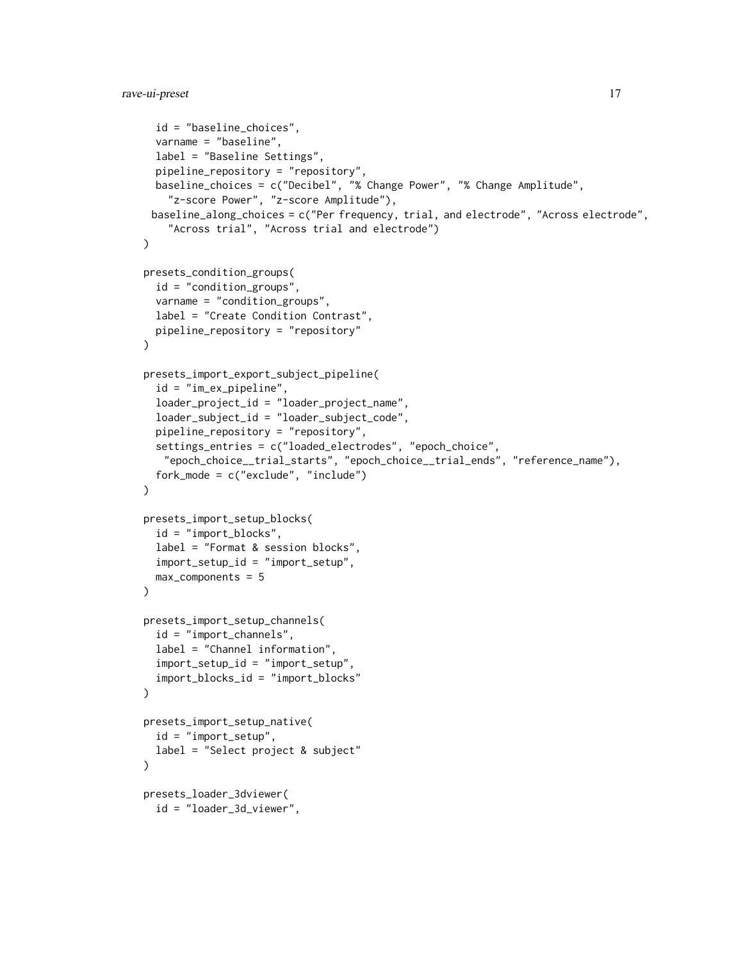```
id = "baseline_choices",
  varname = "baseline",
  label = "Baseline Settings",
  pipeline_repository = "repository",
 baseline_choices = c("Decibel", "% Change Power", "% Change Amplitude",
    "z-score Power", "z-score Amplitude"),
 baseline_along_choices = c("Per frequency, trial, and electrode", "Across electrode",
    "Across trial", "Across trial and electrode")
)
presets_condition_groups(
  id = "condition_groups",
  varname = "condition_groups",
  label = "Create Condition Contrast",
 pipeline_repository = "repository"
)
presets_import_export_subject_pipeline(
  id = "im_ex_pipeline",
  loader_project_id = "loader_project_name",
  loader_subject_id = "loader_subject_code",
  pipeline_repository = "repository",
  settings_entries = c("loaded_electrodes", "epoch_choice",
   "epoch_choice__trial_starts", "epoch_choice__trial_ends", "reference_name"),
  fork_mode = c("exclude", "include")
\lambdapresets_import_setup_blocks(
  id = "import_blocks",
  label = "Format & session blocks",
  import_setup_id = "import_setup",
 max_components = 5
)
presets_import_setup_channels(
  id = "import_channels",
  label = "Channel information",
  import_setup_id = "import_setup",
  import_blocks_id = "import_blocks"
)
presets_import_setup_native(
 id = "import_setup",
 label = "Select project & subject"
\lambdapresets_loader_3dviewer(
  id = "loader_3d_viewer",
```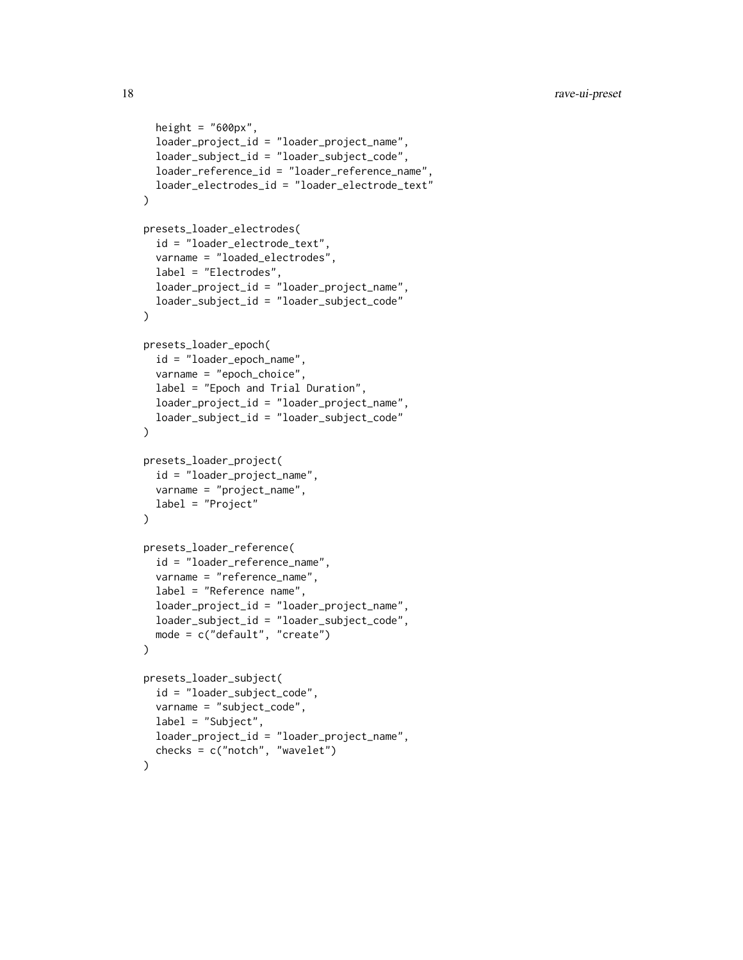```
height = "600px",
  loader_project_id = "loader_project_name",
  loader_subject_id = "loader_subject_code",
  loader_reference_id = "loader_reference_name",
  loader_electrodes_id = "loader_electrode_text"
)
presets_loader_electrodes(
  id = "loader_electrode_text",
  varname = "loaded_electrodes",
  label = "Electrodes",
  loader_project_id = "loader_project_name",
  loader_subject_id = "loader_subject_code"
)
presets_loader_epoch(
  id = "loader_epoch_name",
  varname = "epoch_choice",
  label = "Epoch and Trial Duration",
  loader_project_id = "loader_project_name",
  loader_subject_id = "loader_subject_code"
\lambdapresets_loader_project(
  id = "loader_project_name",
  varname = "project_name",
  label = "Project"
\lambdapresets_loader_reference(
  id = "loader_reference_name",
  varname = "reference_name",
  label = "Reference name",
  loader_project_id = "loader_project_name",
  loader_subject_id = "loader_subject_code",
  mode = c("default", "create")
)
presets_loader_subject(
  id = "loader_subject_code",
  varname = "subject_code",
  label = "Subject",
  loader_project_id = "loader_project_name",
  checks = c("notch", "wavelet")
\lambda
```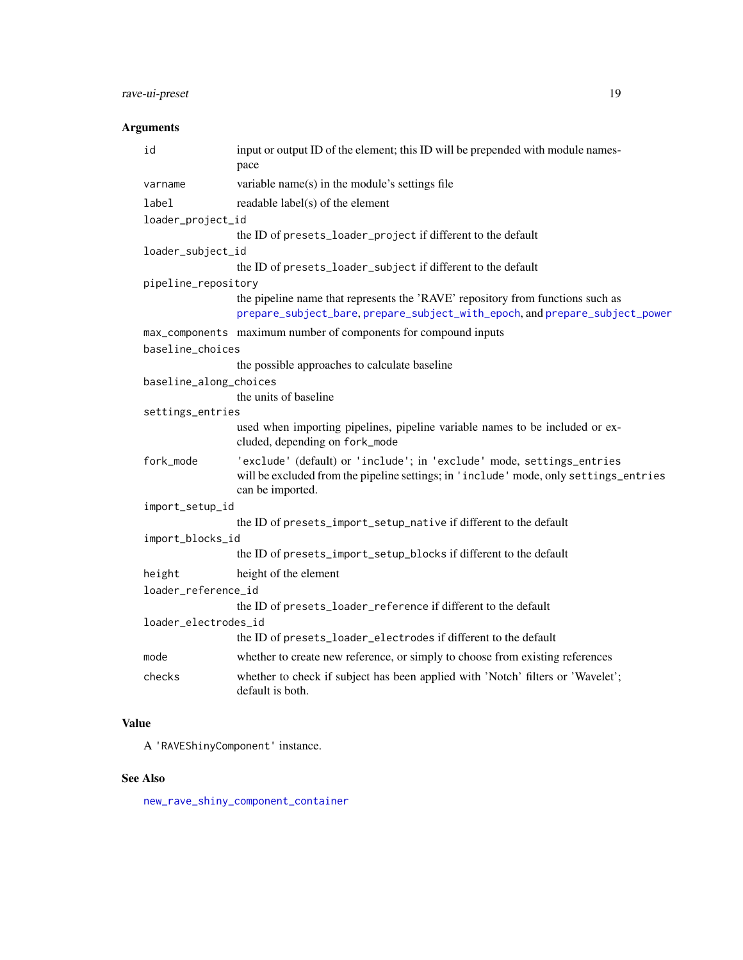# <span id="page-18-0"></span>rave-ui-preset 19

# Arguments

| id                     | input or output ID of the element; this ID will be prepended with module names-<br>pace                                                                                            |
|------------------------|------------------------------------------------------------------------------------------------------------------------------------------------------------------------------------|
| varname                | variable name(s) in the module's settings file                                                                                                                                     |
| label                  | readable label(s) of the element                                                                                                                                                   |
| loader_project_id      |                                                                                                                                                                                    |
|                        | the ID of presets_loader_project if different to the default                                                                                                                       |
| loader_subject_id      |                                                                                                                                                                                    |
|                        | the ID of presets_loader_subject if different to the default                                                                                                                       |
| pipeline_repository    |                                                                                                                                                                                    |
|                        | the pipeline name that represents the 'RAVE' repository from functions such as<br>prepare_subject_bare, prepare_subject_with_epoch, and prepare_subject_power                      |
|                        | max_components maximum number of components for compound inputs                                                                                                                    |
| baseline_choices       |                                                                                                                                                                                    |
|                        | the possible approaches to calculate baseline                                                                                                                                      |
| baseline_along_choices |                                                                                                                                                                                    |
|                        | the units of baseline                                                                                                                                                              |
| settings_entries       |                                                                                                                                                                                    |
|                        | used when importing pipelines, pipeline variable names to be included or ex-<br>cluded, depending on fork_mode                                                                     |
| fork_mode              | 'exclude' (default) or 'include'; in 'exclude' mode, settings_entries<br>will be excluded from the pipeline settings; in 'include' mode, only settings_entries<br>can be imported. |
| import_setup_id        |                                                                                                                                                                                    |
|                        | the ID of presets_import_setup_native if different to the default                                                                                                                  |
| import_blocks_id       |                                                                                                                                                                                    |
|                        | the ID of presets_import_setup_blocks if different to the default                                                                                                                  |
| height                 | height of the element                                                                                                                                                              |
| loader_reference_id    |                                                                                                                                                                                    |
|                        | the ID of presets_loader_reference if different to the default                                                                                                                     |
| loader_electrodes_id   |                                                                                                                                                                                    |
|                        | the ID of presets_loader_electrodes if different to the default                                                                                                                    |
| mode                   | whether to create new reference, or simply to choose from existing references                                                                                                      |
| checks                 | whether to check if subject has been applied with 'Notch' filters or 'Wavelet';<br>default is both.                                                                                |
|                        |                                                                                                                                                                                    |

# Value

A 'RAVEShinyComponent' instance.

## See Also

[new\\_rave\\_shiny\\_component\\_container](#page-7-1)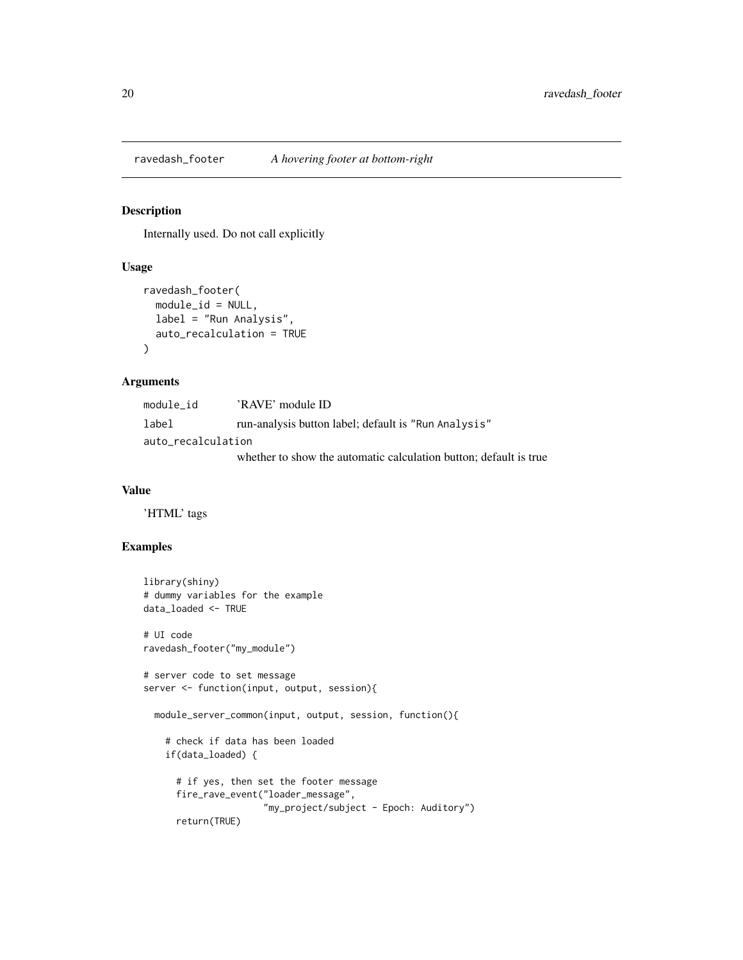<span id="page-19-0"></span>ravedash\_footer *A hovering footer at bottom-right*

#### Description

Internally used. Do not call explicitly

#### Usage

```
ravedash_footer(
 module_id = NULL,
  label = "Run Analysis",
  auto_recalculation = TRUE
\lambda
```
#### Arguments

| module id          | 'RAVE' module ID                                                  |  |
|--------------------|-------------------------------------------------------------------|--|
| label              | run-analysis button label; default is "Run Analysis"              |  |
| auto recalculation |                                                                   |  |
|                    | whether to show the automatic calculation button: default is true |  |

#### Value

'HTML' tags

#### Examples

```
library(shiny)
# dummy variables for the example
data_loaded <- TRUE
# UI code
ravedash_footer("my_module")
# server code to set message
server <- function(input, output, session){
  module_server_common(input, output, session, function(){
    # check if data has been loaded
    if(data_loaded) {
      # if yes, then set the footer message
      fire_rave_event("loader_message",
                      "my_project/subject - Epoch: Auditory")
      return(TRUE)
```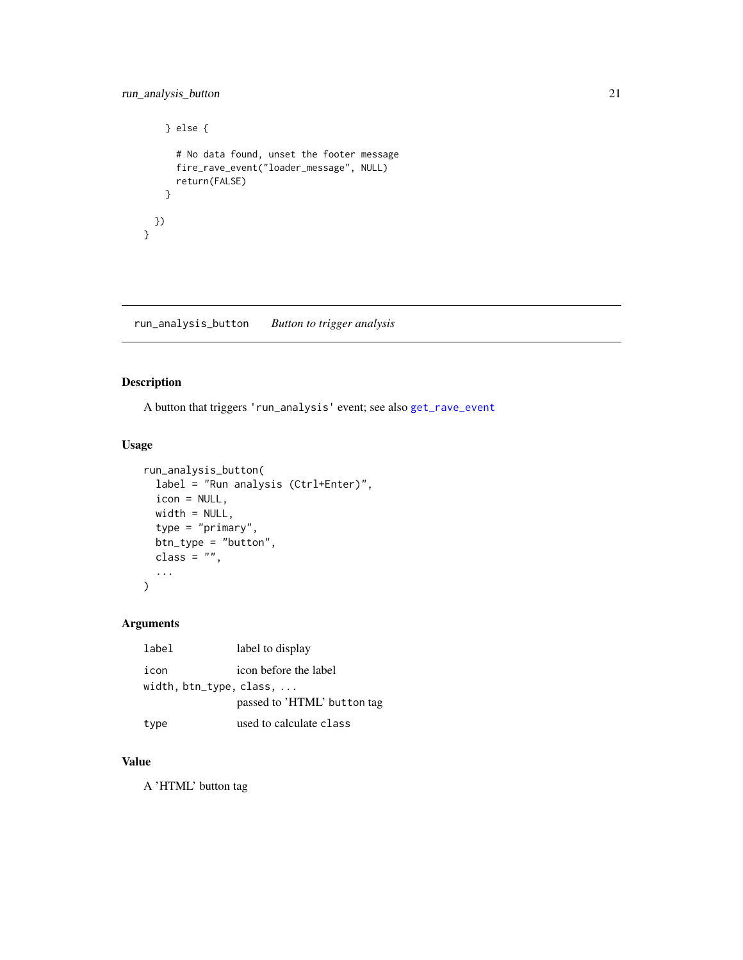```
} else {
     # No data found, unset the footer message
     fire_rave_event("loader_message", NULL)
     return(FALSE)
   }
  })
}
```
run\_analysis\_button *Button to trigger analysis*

#### Description

A button that triggers 'run\_analysis' event; see also [get\\_rave\\_event](#page-11-1)

#### Usage

```
run_analysis_button(
  label = "Run analysis (Ctrl+Enter)",
  icon = NULL,
 width = NULL,
  type = "primary",
 btn_type = "button",
 class = ",
  ...
\mathcal{L}
```
#### Arguments

| label                               | label to display            |
|-------------------------------------|-----------------------------|
| icon                                | icon before the label       |
| width, $btn_type$ , class, $\ldots$ |                             |
|                                     | passed to 'HTML' button tag |
| type                                | used to calculate class     |

#### Value

A 'HTML' button tag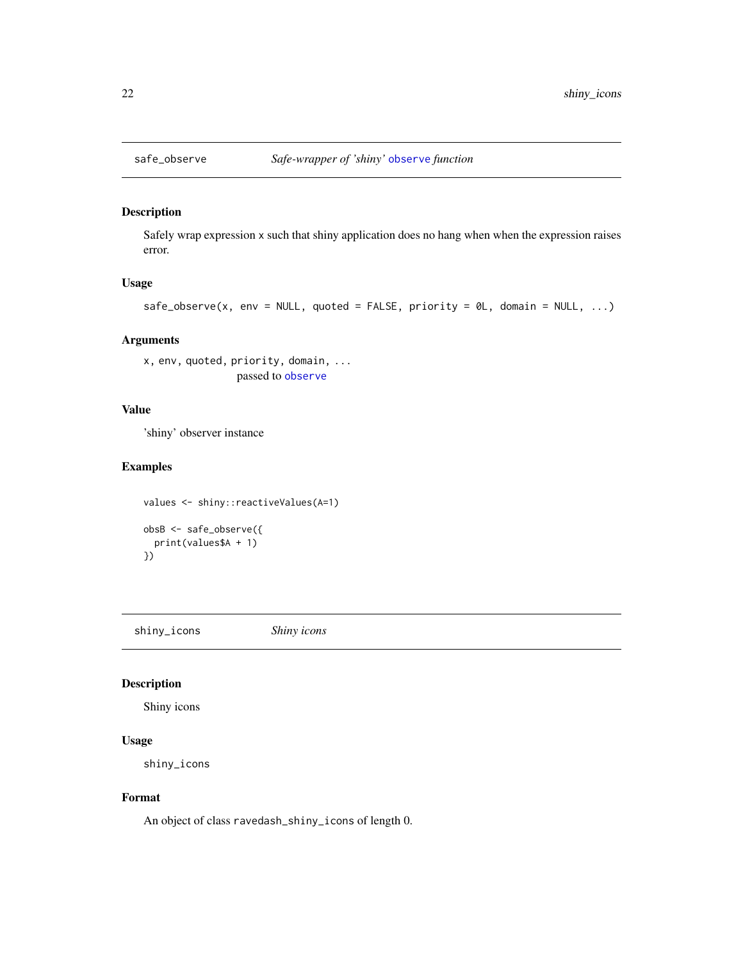<span id="page-21-0"></span>

#### Description

Safely wrap expression x such that shiny application does no hang when when the expression raises error.

#### Usage

```
safe\_observe(x, env = NULL, quoted = FALSE, priority = 0L, domain = NULL, ...)
```
#### Arguments

```
x, env, quoted, priority, domain, ...
                 passed to observe
```
#### Value

'shiny' observer instance

#### Examples

```
values <- shiny::reactiveValues(A=1)
obsB <- safe_observe({
  print(values$A + 1)
})
```
shiny\_icons *Shiny icons*

#### Description

Shiny icons

# Usage

shiny\_icons

#### Format

An object of class ravedash\_shiny\_icons of length 0.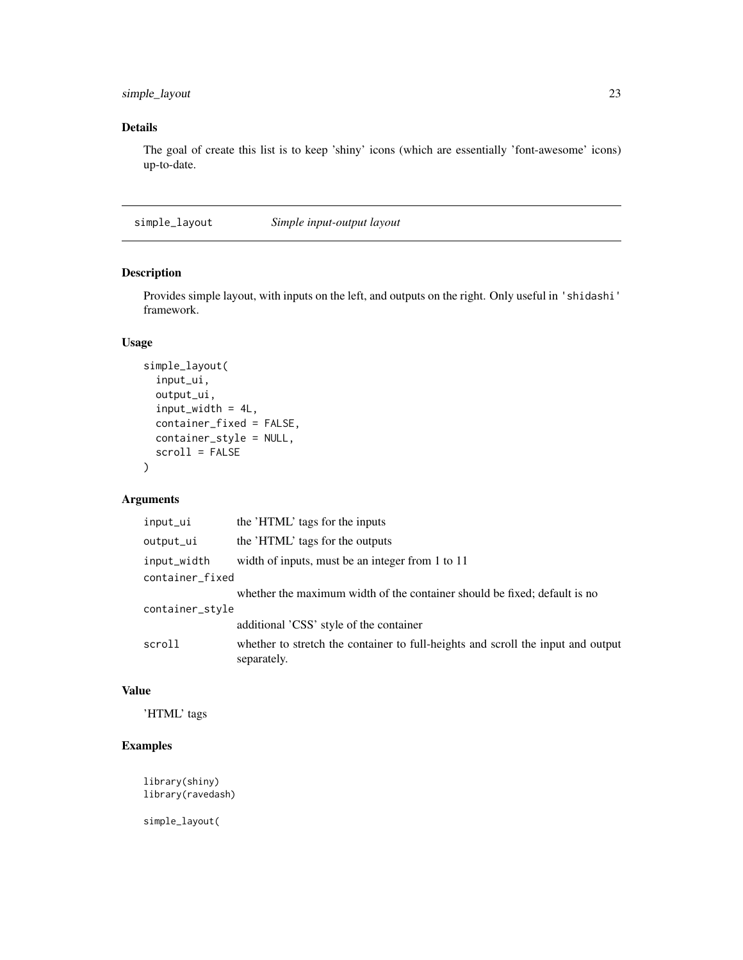#### <span id="page-22-0"></span>simple\_layout 23

# Details

The goal of create this list is to keep 'shiny' icons (which are essentially 'font-awesome' icons) up-to-date.

simple\_layout *Simple input-output layout*

# Description

Provides simple layout, with inputs on the left, and outputs on the right. Only useful in 'shidashi' framework.

#### Usage

```
simple_layout(
  input_ui,
  output_ui,
  input_width = 4L,
  container_fixed = FALSE,
  container_style = NULL,
  scroll = FALSE
\mathcal{E}
```
# Arguments

| input_ui        | the 'HTML' tags for the inputs                                                                  |  |
|-----------------|-------------------------------------------------------------------------------------------------|--|
| output_ui       | the 'HTML' tags for the outputs                                                                 |  |
| input_width     | width of inputs, must be an integer from 1 to 11                                                |  |
| container_fixed |                                                                                                 |  |
|                 | whether the maximum width of the container should be fixed; default is no                       |  |
| container_style |                                                                                                 |  |
|                 | additional 'CSS' style of the container                                                         |  |
| scroll          | whether to stretch the container to full-heights and scroll the input and output<br>separately. |  |

#### Value

'HTML' tags

# Examples

library(shiny) library(ravedash)

simple\_layout(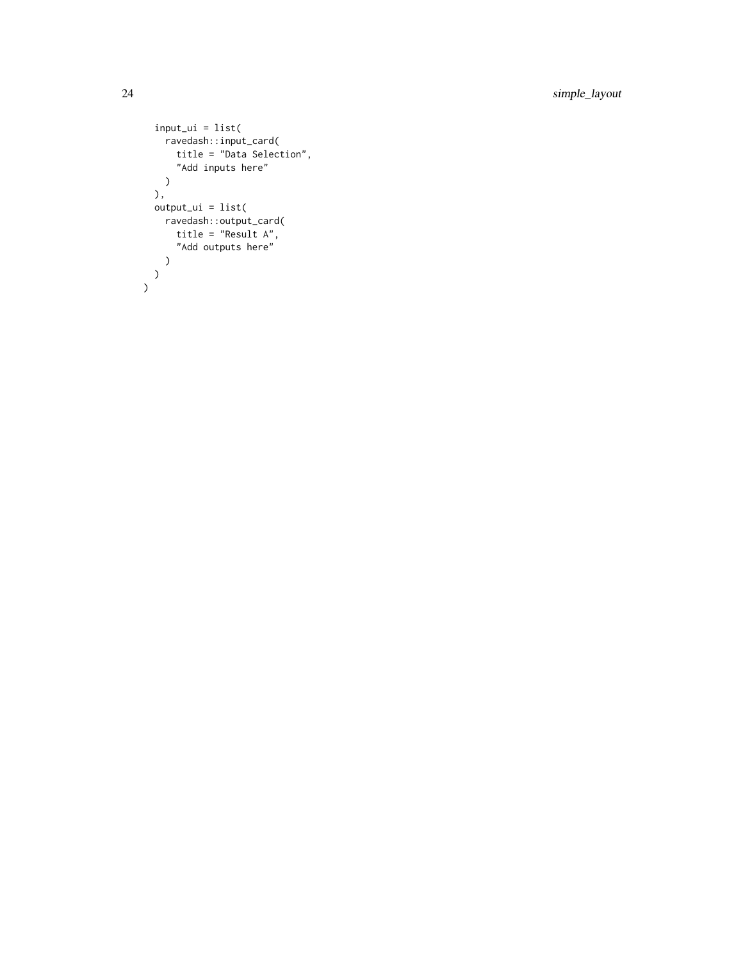24 simple\_layout

```
input_ui = list(
  ravedash::input_card(
     title = "Data Selection",
     "Add inputs here"
  )
 ),
 output\_ui = list(ravedash::output_card(
      title = "Result A",
      "Add outputs here"
   \lambda)
)
```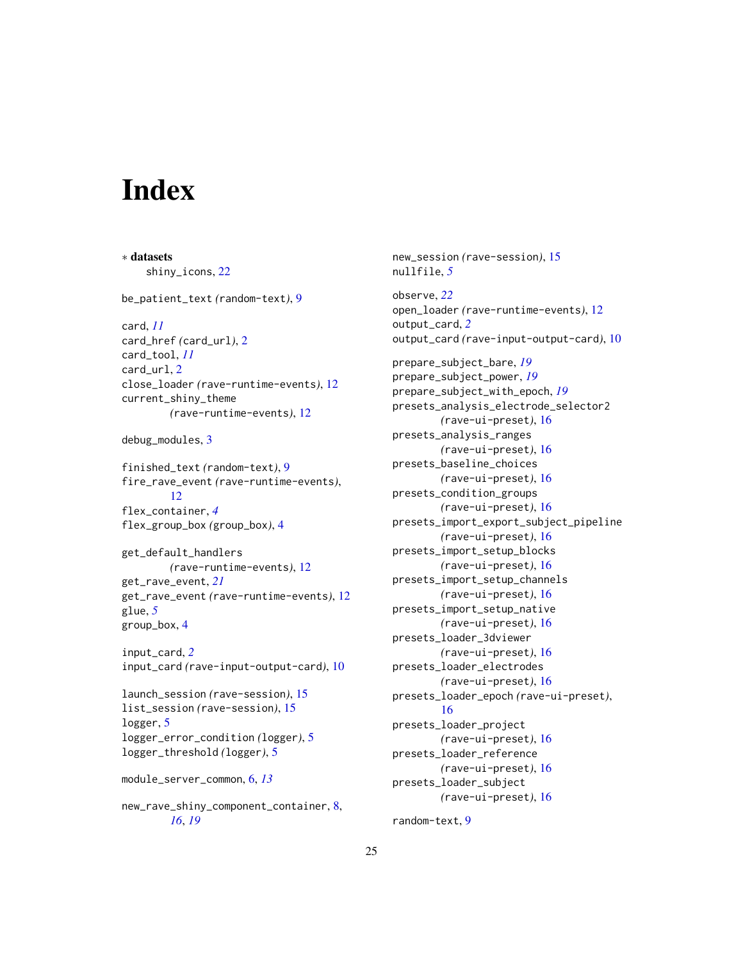# <span id="page-24-0"></span>**Index**

∗ datasets shiny\_icons, [22](#page-21-0) be\_patient\_text *(*random-text*)*, [9](#page-8-0) card, *[11](#page-10-0)* card\_href *(*card\_url*)*, [2](#page-1-0) card\_tool, *[11](#page-10-0)* card\_url, [2](#page-1-0) close\_loader *(*rave-runtime-events*)*, [12](#page-11-0) current\_shiny\_theme *(*rave-runtime-events*)*, [12](#page-11-0) debug\_modules, [3](#page-2-0) finished\_text *(*random-text*)*, [9](#page-8-0) fire\_rave\_event *(*rave-runtime-events*)*, [12](#page-11-0) flex\_container, *[4](#page-3-0)* flex\_group\_box *(*group\_box*)*, [4](#page-3-0) get\_default\_handlers *(*rave-runtime-events*)*, [12](#page-11-0) get\_rave\_event, *[21](#page-20-0)* get\_rave\_event *(*rave-runtime-events*)*, [12](#page-11-0) glue, *[5](#page-4-0)* group\_box, [4](#page-3-0) input\_card, *[2](#page-1-0)* input\_card *(*rave-input-output-card*)*, [10](#page-9-0) launch\_session *(*rave-session*)*, [15](#page-14-0) list\_session *(*rave-session*)*, [15](#page-14-0) logger, [5](#page-4-0) logger\_error\_condition *(*logger*)*, [5](#page-4-0) logger\_threshold *(*logger*)*, [5](#page-4-0) module\_server\_common, [6,](#page-5-0) *[13](#page-12-0)* new\_rave\_shiny\_component\_container, [8,](#page-7-0)

*[16](#page-15-0)*, *[19](#page-18-0)*

new\_session *(*rave-session*)*, [15](#page-14-0) nullfile, *[5](#page-4-0)* observe, *[22](#page-21-0)* open\_loader *(*rave-runtime-events*)*, [12](#page-11-0) output\_card, *[2](#page-1-0)* output\_card *(*rave-input-output-card*)*, [10](#page-9-0) prepare\_subject\_bare, *[19](#page-18-0)*

prepare\_subject\_power, *[19](#page-18-0)* prepare\_subject\_with\_epoch, *[19](#page-18-0)* presets\_analysis\_electrode\_selector2 *(*rave-ui-preset*)*, [16](#page-15-0) presets\_analysis\_ranges *(*rave-ui-preset*)*, [16](#page-15-0) presets\_baseline\_choices *(*rave-ui-preset*)*, [16](#page-15-0) presets\_condition\_groups *(*rave-ui-preset*)*, [16](#page-15-0) presets\_import\_export\_subject\_pipeline *(*rave-ui-preset*)*, [16](#page-15-0) presets\_import\_setup\_blocks *(*rave-ui-preset*)*, [16](#page-15-0) presets\_import\_setup\_channels *(*rave-ui-preset*)*, [16](#page-15-0) presets\_import\_setup\_native *(*rave-ui-preset*)*, [16](#page-15-0) presets\_loader\_3dviewer *(*rave-ui-preset*)*, [16](#page-15-0) presets\_loader\_electrodes *(*rave-ui-preset*)*, [16](#page-15-0) presets\_loader\_epoch *(*rave-ui-preset*)*, [16](#page-15-0) presets\_loader\_project *(*rave-ui-preset*)*, [16](#page-15-0) presets\_loader\_reference *(*rave-ui-preset*)*, [16](#page-15-0) presets\_loader\_subject *(*rave-ui-preset*)*, [16](#page-15-0)

random-text, [9](#page-8-0)